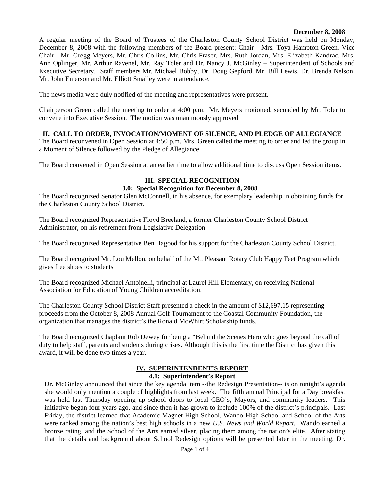#### **December 8, 2008**

A regular meeting of the Board of Trustees of the Charleston County School District was held on Monday, December 8, 2008 with the following members of the Board present: Chair - Mrs. Toya Hampton-Green, Vice Chair - Mr. Gregg Meyers, Mr. Chris Collins, Mr. Chris Fraser, Mrs. Ruth Jordan, Mrs. Elizabeth Kandrac, Mrs. Ann Oplinger, Mr. Arthur Ravenel, Mr. Ray Toler and Dr. Nancy J. McGinley – Superintendent of Schools and Executive Secretary. Staff members Mr. Michael Bobby, Dr. Doug Gepford, Mr. Bill Lewis, Dr. Brenda Nelson, Mr. John Emerson and Mr. Elliott Smalley were in attendance.

The news media were duly notified of the meeting and representatives were present.

Chairperson Green called the meeting to order at 4:00 p.m. Mr. Meyers motioned, seconded by Mr. Toler to convene into Executive Session. The motion was unanimously approved.

# **II. CALL TO ORDER, INVOCATION/MOMENT OF SILENCE, AND PLEDGE OF ALLEGIANCE**

The Board reconvened in Open Session at 4:50 p.m. Mrs. Green called the meeting to order and led the group in a Moment of Silence followed by the Pledge of Allegiance.

The Board convened in Open Session at an earlier time to allow additional time to discuss Open Session items.

# **III. SPECIAL RECOGNITION**

## **3.0: Special Recognition for December 8, 2008**

The Board recognized Senator Glen McConnell, in his absence, for exemplary leadership in obtaining funds for the Charleston County School District.

The Board recognized Representative Floyd Breeland, a former Charleston County School District Administrator, on his retirement from Legislative Delegation.

The Board recognized Representative Ben Hagood for his support for the Charleston County School District.

The Board recognized Mr. Lou Mellon, on behalf of the Mt. Pleasant Rotary Club Happy Feet Program which gives free shoes to students

The Board recognized Michael Antoinelli, principal at Laurel Hill Elementary, on receiving National Association for Education of Young Children accreditation.

The Charleston County School District Staff presented a check in the amount of \$12,697.15 representing proceeds from the October 8, 2008 Annual Golf Tournament to the Coastal Community Foundation, the organization that manages the district's the Ronald McWhirt Scholarship funds.

The Board recognized Chaplain Rob Dewey for being a "Behind the Scenes Hero who goes beyond the call of duty to help staff, parents and students during crises. Although this is the first time the District has given this award, it will be done two times a year.

# **IV. SUPERINTENDENT'S REPORT**

#### **4.1: Superintendent's Report**

Dr. McGinley announced that since the key agenda item --the Redesign Presentation-- is on tonight's agenda she would only mention a couple of highlights from last week. The fifth annual Principal for a Day breakfast was held last Thursday opening up school doors to local CEO's, Mayors, and community leaders. This initiative began four years ago, and since then it has grown to include 100% of the district's principals. Last Friday, the district learned that Academic Magnet High School, Wando High School and School of the Arts were ranked among the nation's best high schools in a new *U.S. News and World Report.* Wando earned a bronze rating, and the School of the Arts earned silver, placing them among the nation's elite. After stating that the details and background about School Redesign options will be presented later in the meeting, Dr.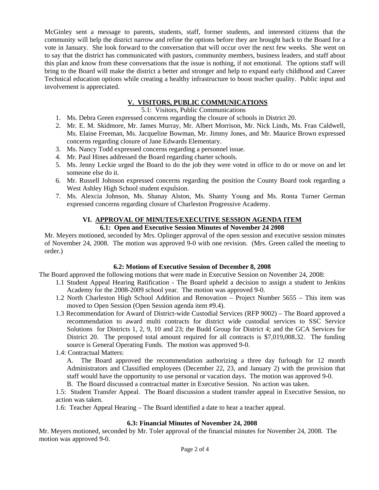McGinley sent a message to parents, students, staff, former students, and interested citizens that the community will help the district narrow and refine the options before they are brought back to the Board for a vote in January. She look forward to the conversation that will occur over the next few weeks. She went on to say that the district has communicated with pastors, community members, business leaders, and staff about this plan and know from these conversations that the issue is nothing, if not emotional. The options staff will bring to the Board will make the district a better and stronger and help to expand early childhood and Career Technical education options while creating a healthy infrastructure to boost teacher quality. Public input and involvement is appreciated.

# **V. VISITORS, PUBLIC COMMUNICATIONS**

5.1: Visitors, Public Communications

- 1. Ms. Debra Green expressed concerns regarding the closure of schools in District 20.
- 2. Mr. E. M. Skidmore, Mr. James Murray, Mr. Albert Morrison, Mr. Nick Linds, Ms. Fran Caldwell, Ms. Elaine Freeman, Ms. Jacqueline Bowman, Mr. Jimmy Jones, and Mr. Maurice Brown expressed concerns regarding closure of Jane Edwards Elementary.
- 3. Ms. Nancy Todd expressed concerns regarding a personnel issue.
- 4. Mr. Paul Hines addressed the Board regarding charter schools.
- 5. Ms. Jenny Leckie urged the Board to do the job they were voted in office to do or move on and let someone else do it.
- 6. Mr. Russell Johnson expressed concerns regarding the position the County Board took regarding a West Ashley High School student expulsion.
- 7. Ms. Alexcia Johnson, Ms. Shanay Alston, Ms. Shanty Young and Ms. Ronta Turner German expressed concerns regarding closure of Charleston Progressive Academy.

## **VI. APPROVAL OF MINUTES/EXECUTIVE SESSION AGENDA ITEM 6.1: Open and Executive Session Minutes of November 24 2008**

Mr. Meyers motioned, seconded by Mrs. Oplinger approval of the open session and executive session minutes of November 24, 2008. The motion was approved 9-0 with one revision. (Mrs. Green called the meeting to order.)

# **6.2: Motions of Executive Session of December 8, 2008**

The Board approved the following motions that were made in Executive Session on November 24, 2008:

- 1.1 Student Appeal Hearing Ratification The Board upheld a decision to assign a student to Jenkins Academy for the 2008-2009 school year. The motion was approved 9-0.
- 1.2 North Charleston High School Addition and Renovation Project Number 5655 This item was moved to Open Session (Open Session agenda item #9.4).
- 1.3 Recommendation for Award of District-wide Custodial Services (RFP 9002) The Board approved a recommendation to award multi contracts for district wide custodial services to SSC Service Solutions for Districts 1, 2, 9, 10 and 23; the Budd Group for District 4; and the GCA Services for District 20. The proposed total amount required for all contracts is \$7,019,008.32. The funding source is General Operating Funds. The motion was approved 9-0.
- 1.4: Contractual Matters:

A. The Board approved the recommendation authorizing a three day furlough for 12 month Administrators and Classified employees (December 22, 23, and January 2) with the provision that staff would have the opportunity to use personal or vacation days. The motion was approved 9-0.

B. The Board discussed a contractual matter in Executive Session. No action was taken.

1.5: Student Transfer Appeal. The Board discussion a student transfer appeal in Executive Session, no action was taken.

1.6: Teacher Appeal Hearing – The Board identified a date to hear a teacher appeal.

# **6.3: Financial Minutes of November 24, 2008**

Mr. Meyers motioned, seconded by Mr. Toler approval of the financial minutes for November 24, 2008. The motion was approved 9-0.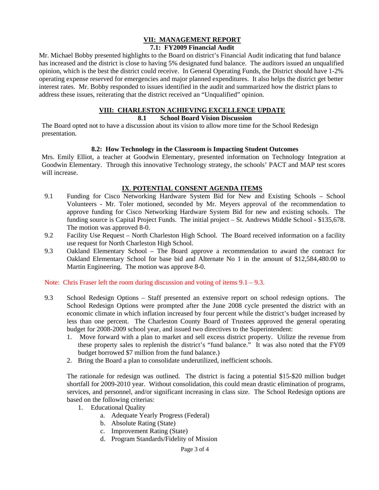# **VII: MANAGEMENT REPORT**

# **7.1: FY2009 Financial Audit**

Mr. Michael Bobby presented highlights to the Board on district's Financial Audit indicating that fund balance has increased and the district is close to having 5% designated fund balance. The auditors issued an unqualified opinion, which is the best the district could receive. In General Operating Funds, the District should have 1-2% operating expense reserved for emergencies and major planned expenditures. It also helps the district get better interest rates. Mr. Bobby responded to issues identified in the audit and summarized how the district plans to address these issues, reiterating that the district received an "Unqualified" opinion.

#### **VIII: CHARLESTON ACHIEVING EXCELLENCE UPDATE**

#### **8.1 School Board Vision Discussion**

The Board opted not to have a discussion about its vision to allow more time for the School Redesign presentation.

#### **8.2: How Technology in the Classroom is Impacting Student Outcomes**

Mrs. Emily Elliot, a teacher at Goodwin Elementary, presented information on Technology Integration at Goodwin Elementary. Through this innovative Technology strategy, the schools' PACT and MAP test scores will increase.

## **IX**. **POTENTIAL CONSENT AGENDA ITEMS**

- 9.1 Funding for Cisco Networking Hardware System Bid for New and Existing Schools School Volunteers - Mr. Toler motioned, seconded by Mr. Meyers approval of the recommendation to approve funding for Cisco Networking Hardware System Bid for new and existing schools. The funding source is Capital Project Funds. The initial project – St. Andrews Middle School - \$135,678. The motion was approved 8-0.
- 9.2 Facility Use Request North Charleston High School. The Board received information on a facility use request for North Charleston High School.
- 9.3 Oakland Elementary School The Board approve a recommendation to award the contract for Oakland Elementary School for base bid and Alternate No 1 in the amount of \$12,584,480.00 to Martin Engineering. The motion was approve 8-0.

Note: Chris Fraser left the room during discussion and voting of items  $9.1 - 9.3$ .

- 9.3 School Redesign Options Staff presented an extensive report on school redesign options. The School Redesign Options were prompted after the June 2008 cycle presented the district with an economic climate in which inflation increased by four percent while the district's budget increased by less than one percent. The Charleston County Board of Trustees approved the general operating budget for 2008-2009 school year, and issued two directives to the Superintendent:
	- 1. Move forward with a plan to market and sell excess district property. Utilize the revenue from these property sales to replenish the district's "fund balance." It was also noted that the FY09 budget borrowed \$7 million from the fund balance.)
	- 2. Bring the Board a plan to consolidate underutilized, inefficient schools.

The rationale for redesign was outlined. The district is facing a potential \$15-\$20 million budget shortfall for 2009-2010 year. Without consolidation, this could mean drastic elimination of programs, services, and personnel, and/or significant increasing in class size. The School Redesign options are based on the following criterias:

- 1. Educational Quality
	- a. Adequate Yearly Progress (Federal)
	- b. Absolute Rating (State)
	- c. Improvement Rating (State)
	- d. Program Standards/Fidelity of Mission